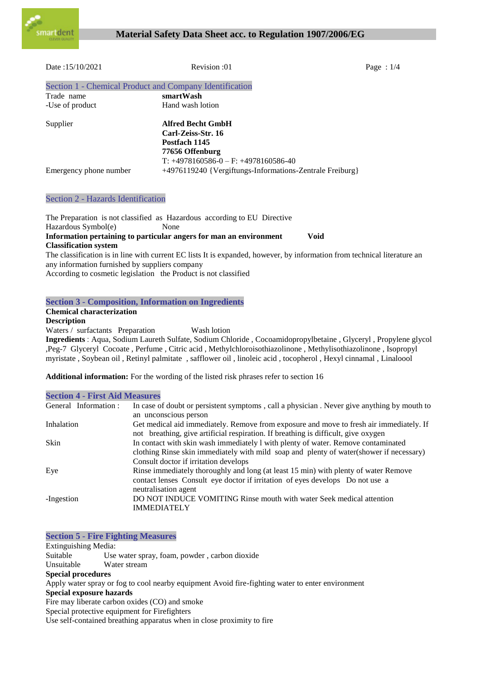

| Date:15/10/2021                                         | Revision :01                                             | Page : $1/4$ |
|---------------------------------------------------------|----------------------------------------------------------|--------------|
| Section 1 - Chemical Product and Company Identification |                                                          |              |
| Trade name                                              | smartWash                                                |              |
| -Use of product                                         | Hand wash lotion                                         |              |
| Supplier                                                | <b>Alfred Becht GmbH</b>                                 |              |
|                                                         | Carl-Zeiss-Str. 16                                       |              |
|                                                         | Postfach 1145                                            |              |
|                                                         | 77656 Offenburg                                          |              |
|                                                         | $T: +4978160586 - 0 - F: +4978160586 - 40$               |              |
| Emergency phone number                                  | +4976119240 {Vergiftungs-Informations-Zentrale Freiburg} |              |

# Section 2 - Hazards Identification

The Preparation is not classified as Hazardous according to EU Directive Hazardous Symbol(e) None **Information pertaining to particular angers for man an environment Void Classification system**

The classification is in line with current EC lists It is expanded, however, by information from technical literature an any information furnished by suppliers company

According to cosmetic legislation the Product is not classified

# **Section 3 - Composition, Information on Ingredients**

# **Chemical characterization**

# **Description**

Waters / surfactants Preparation Wash lotion

**Ingredients** : Aqua, Sodium Laureth Sulfate, Sodium Chloride , Cocoamidopropylbetaine , Glyceryl , Propylene glycol ,Peg-7 Glyceryl Cocoate , Perfume , Citric acid , Methylchloroisothiazolinone , Methylisothiazolinone , Isopropyl myristate , Soybean oil , Retinyl palmitate , safflower oil , linoleic acid , tocopherol , Hexyl cinnamal , Linaloool

**Additional information:** For the wording of the listed risk phrases refer to section 16

|  |  |  |  |  |  | <b>Section 4 - First Aid Measures</b> |
|--|--|--|--|--|--|---------------------------------------|
|--|--|--|--|--|--|---------------------------------------|

| General Information: | In case of doubt or persistent symptoms, call a physician. Never give anything by mouth to |
|----------------------|--------------------------------------------------------------------------------------------|
|                      | an unconscious person                                                                      |
| Inhalation           | Get medical aid immediately. Remove from exposure and move to fresh air immediately. If    |
|                      | not breathing, give artificial respiration. If breathing is difficult, give oxygen         |
| <b>Skin</b>          | In contact with skin wash immediately 1 with plenty of water. Remove contaminated          |
|                      | clothing Rinse skin immediately with mild soap and plenty of water(shower if necessary)    |
|                      | Consult doctor if irritation develops                                                      |
| Eye                  | Rinse immediately thoroughly and long (at least 15 min) with plenty of water Remove        |
|                      | contact lenses Consult eye doctor if irritation of eyes develops Do not use a              |
|                      | neutralisation agent                                                                       |
| -Ingestion           | DO NOT INDUCE VOMITING Rinse mouth with water Seek medical attention                       |
|                      | <b>IMMEDIATELY</b>                                                                         |
|                      |                                                                                            |

**Section 5 - Fire Fighting Measures** Extinguishing Media: Suitable Use water spray, foam, powder , carbon dioxide Unsuitable Water stream **Special procedures** Apply water spray or fog to cool nearby equipment Avoid fire-fighting water to enter environment **Special exposure hazards** Fire may liberate carbon oxides (CO) and smoke Special protective equipment for Firefighters Use self-contained breathing apparatus when in close proximity to fire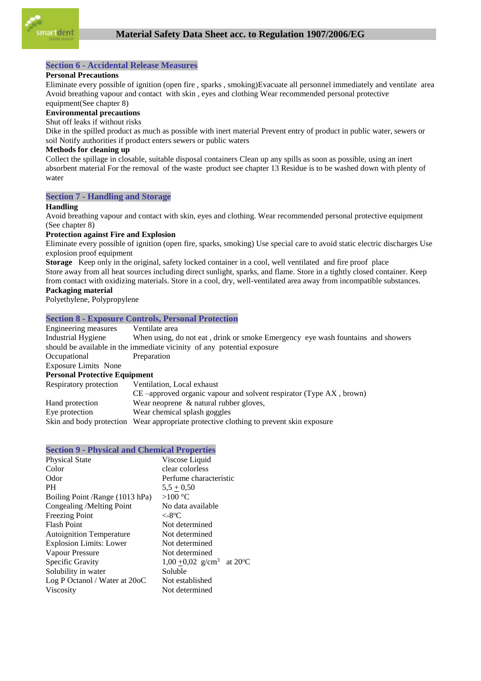

## **Section 6 - Accidental Release Measures**

#### **Personal Precautions**

Eliminate every possible of ignition (open fire , sparks , smoking)Evacuate all personnel immediately and ventilate area Avoid breathing vapour and contact with skin , eyes and clothing Wear recommended personal protective equipment(See chapter 8)

# **Environmental precautions**

# Shut off leaks if without risks

Dike in the spilled product as much as possible with inert material Prevent entry of product in public water, sewers or soil Notify authorities if product enters sewers or public waters

### **Methods for cleaning up**

Collect the spillage in closable, suitable disposal containers Clean up any spills as soon as possible, using an inert absorbent material For the removal of the waste product see chapter 13 Residue is to be washed down with plenty of water

### **Section 7 - Handling and Storage**

#### **Handling**

Avoid breathing vapour and contact with skin, eyes and clothing. Wear recommended personal protective equipment (See chapter 8)

#### **Protection against Fire and Explosion**

Eliminate every possible of ignition (open fire, sparks, smoking) Use special care to avoid static electric discharges Use explosion proof equipment

**Storage** Keep only in the original, safety locked container in a cool, well ventilated and fire proof place Store away from all heat sources including direct sunlight, sparks, and flame. Store in a tightly closed container. Keep from contact with oxidizing materials. Store in a cool, dry, well-ventilated area away from incompatible substances.

#### **Packaging material**

Polyethylene, Polypropylene

## **Section 8 - Exposure Controls, Personal Protection**

| Engineering measures                 | Ventilate area                                                                         |
|--------------------------------------|----------------------------------------------------------------------------------------|
| Industrial Hygiene                   | When using, do not eat, drink or smoke Emergency eye wash fountains and showers        |
|                                      | should be available in the immediate vicinity of any potential exposure                |
| Occupational                         | Preparation                                                                            |
| <b>Exposure Limits None</b>          |                                                                                        |
| <b>Personal Protective Equipment</b> |                                                                                        |
| Respiratory protection               | Ventilation, Local exhaust                                                             |
|                                      | CE-approved organic vapour and solvent respirator (Type AX, brown)                     |
| Hand protection                      | Wear neoprene & natural rubber gloves,                                                 |
| Eye protection                       | Wear chemical splash goggles                                                           |
|                                      | Skin and body protection Wear appropriate protective clothing to prevent skin exposure |

## **Section 9 - Physical and Chemical Properties**

| <b>Physical State</b>           | Viscose Liquid                        |
|---------------------------------|---------------------------------------|
| Color                           | clear colorless                       |
| Odor                            | Perfume characteristic                |
| <b>PH</b>                       | $5,5 \pm 0,50$                        |
| Boiling Point /Range (1013 hPa) | $>100$ °C                             |
| Congealing /Melting Point       | No data available                     |
| <b>Freezing Point</b>           | $< -8$ °C                             |
| <b>Flash Point</b>              | Not determined                        |
| <b>Autoignition Temperature</b> | Not determined                        |
| <b>Explosion Limits: Lower</b>  | Not determined                        |
| Vapour Pressure                 | Not determined                        |
| Specific Gravity                | 1,00 +0,02 g/cm <sup>3</sup> at 20 °C |
| Solubility in water             | Soluble                               |
| Log P Octanol / Water at 20oC   | Not established                       |
| <b>Viscosity</b>                | Not determined                        |